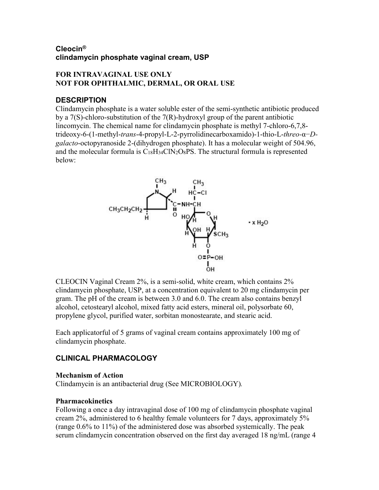### **Cleocin® clindamycin phosphate vaginal cream, USP**

#### **FOR INTRAVAGINAL USE ONLY NOT FOR OPHTHALMIC, DERMAL, OR ORAL USE**

### **DESCRIPTION**

Clindamycin phosphate is a water soluble ester of the semi-synthetic antibiotic produced by a 7(S)-chloro-substitution of the 7(R)-hydroxyl group of the parent antibiotic lincomycin. The chemical name for clindamycin phosphate is methyl 7-chloro-6,7,8 trideoxy-6-(1-methyl-*trans*-4-propyl-L-2-pyrrolidinecarboxamido)-1-thio-L-*threo-*α−*Dgalacto*-octopyranoside 2-(dihydrogen phosphate). It has a molecular weight of 504.96, and the molecular formula is  $C_{18}H_{34}CIN_2O_8PS$ . The structural formula is represented below:



CLEOCIN Vaginal Cream 2%, is a semi-solid, white cream, which contains 2% clindamycin phosphate, USP, at a concentration equivalent to 20 mg clindamycin per gram. The pH of the cream is between 3.0 and 6.0. The cream also contains benzyl alcohol, cetostearyl alcohol, mixed fatty acid esters, mineral oil, polysorbate 60, propylene glycol, purified water, sorbitan monostearate, and stearic acid.

Each applicatorful of 5 grams of vaginal cream contains approximately 100 mg of clindamycin phosphate.

## **CLINICAL PHARMACOLOGY**

#### **Mechanism of Action**

Clindamycin is an antibacterial drug (See MICROBIOLOGY)*.*

#### **Pharmacokinetics**

Following a once a day intravaginal dose of 100 mg of clindamycin phosphate vaginal cream 2%, administered to 6 healthy female volunteers for 7 days, approximately 5% (range 0.6% to 11%) of the administered dose was absorbed systemically. The peak serum clindamycin concentration observed on the first day averaged 18 ng/mL (range 4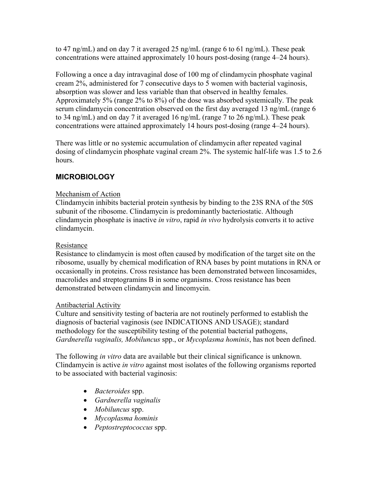to 47 ng/mL) and on day 7 it averaged 25 ng/mL (range 6 to 61 ng/mL). These peak concentrations were attained approximately 10 hours post-dosing (range 4–24 hours).

Following a once a day intravaginal dose of 100 mg of clindamycin phosphate vaginal cream 2%, administered for 7 consecutive days to 5 women with bacterial vaginosis, absorption was slower and less variable than that observed in healthy females. Approximately 5% (range 2% to 8%) of the dose was absorbed systemically. The peak serum clindamycin concentration observed on the first day averaged 13 ng/mL (range 6 to 34 ng/mL) and on day 7 it averaged 16 ng/mL (range 7 to 26 ng/mL). These peak concentrations were attained approximately 14 hours post-dosing (range 4–24 hours).

There was little or no systemic accumulation of clindamycin after repeated vaginal dosing of clindamycin phosphate vaginal cream 2%. The systemic half-life was 1.5 to 2.6 hours.

# **MICROBIOLOGY**

#### Mechanism of Action

Clindamycin inhibits bacterial protein synthesis by binding to the 23S RNA of the 50S subunit of the ribosome. Clindamycin is predominantly bacteriostatic. Although clindamycin phosphate is inactive *in vitro*, rapid *in vivo* hydrolysis converts it to active clindamycin.

### Resistance

Resistance to clindamycin is most often caused by modification of the target site on the ribosome, usually by chemical modification of RNA bases by point mutations in RNA or occasionally in proteins. Cross resistance has been demonstrated between lincosamides, macrolides and streptogramins B in some organisms. Cross resistance has been demonstrated between clindamycin and lincomycin.

#### Antibacterial Activity

Culture and sensitivity testing of bacteria are not routinely performed to establish the diagnosis of bacterial vaginosis (see INDICATIONS AND USAGE); standard methodology for the susceptibility testing of the potential bacterial pathogens, *Gardnerella vaginalis, Mobiluncus* spp., or *Mycoplasma hominis*, has not been defined.

The following *in vitro* data are available but their clinical significance is unknown. Clindamycin is active *in vitro* against most isolates of the following organisms reported to be associated with bacterial vaginosis:

- *Bacteroides* spp.
- *Gardnerella vaginalis*
- *Mobiluncus* spp.
- *Mycoplasma hominis*
- *Peptostreptococcus* spp.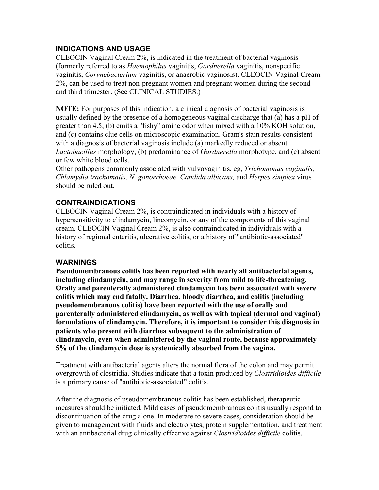## **INDICATIONS AND USAGE**

CLEOCIN Vaginal Cream 2%, is indicated in the treatment of bacterial vaginosis (formerly referred to as *Haemophilus* vaginitis, *Gardnerella* vaginitis, nonspecific vaginitis, *Corynebacterium* vaginitis, or anaerobic vaginosis). CLEOCIN Vaginal Cream 2%, can be used to treat non-pregnant women and pregnant women during the second and third trimester. (See CLINICAL STUDIES.)

**NOTE:** For purposes of this indication, a clinical diagnosis of bacterial vaginosis is usually defined by the presence of a homogeneous vaginal discharge that (a) has a pH of greater than 4.5, (b) emits a "fishy" amine odor when mixed with a 10% KOH solution, and (c) contains clue cells on microscopic examination. Gram's stain results consistent with a diagnosis of bacterial vaginosis include (a) markedly reduced or absent *Lactobacillus* morphology, (b) predominance of *Gardnerella* morphotype, and (c) absent or few white blood cells.

Other pathogens commonly associated with vulvovaginitis, eg, *Trichomonas vaginalis, Chlamydia trachomatis, N. gonorrhoeae, Candida albicans,* and *Herpes simplex* virus should be ruled out.

# **CONTRAINDICATIONS**

CLEOCIN Vaginal Cream 2%, is contraindicated in individuals with a history of hypersensitivity to clindamycin, lincomycin, or any of the components of this vaginal cream. CLEOCIN Vaginal Cream 2%, is also contraindicated in individuals with a history of regional enteritis, ulcerative colitis, or a history of "antibiotic-associated" colitis.

## **WARNINGS**

**Pseudomembranous colitis has been reported with nearly all antibacterial agents, including clindamycin, and may range in severity from mild to life-threatening. Orally and parenterally administered clindamycin has been associated with severe colitis which may end fatally. Diarrhea, bloody diarrhea, and colitis (including pseudomembranous colitis) have been reported with the use of orally and parenterally administered clindamycin, as well as with topical (dermal and vaginal) formulations of clindamycin. Therefore, it is important to consider this diagnosis in patients who present with diarrhea subsequent to the administration of clindamycin, even when administered by the vaginal route, because approximately 5% of the clindamycin dose is systemically absorbed from the vagina.**

Treatment with antibacterial agents alters the normal flora of the colon and may permit overgrowth of clostridia. Studies indicate that a toxin produced by *Clostridioides difficile*  is a primary cause of "antibiotic-associated" colitis.

After the diagnosis of pseudomembranous colitis has been established, therapeutic measures should be initiated. Mild cases of pseudomembranous colitis usually respond to discontinuation of the drug alone. In moderate to severe cases, consideration should be given to management with fluids and electrolytes, protein supplementation, and treatment with an antibacterial drug clinically effective against *Clostridioides difficile* colitis.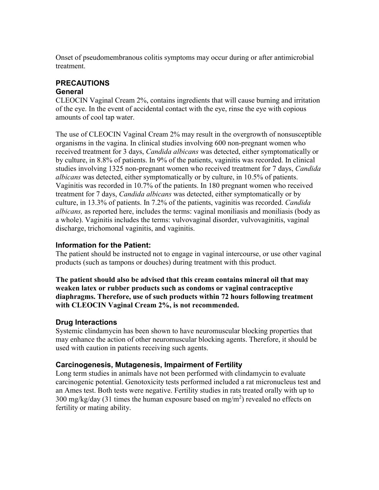Onset of pseudomembranous colitis symptoms may occur during or after antimicrobial treatment.

#### **PRECAUTIONS General**

CLEOCIN Vaginal Cream 2%, contains ingredients that will cause burning and irritation of the eye. In the event of accidental contact with the eye, rinse the eye with copious amounts of cool tap water.

The use of CLEOCIN Vaginal Cream 2% may result in the overgrowth of nonsusceptible organisms in the vagina. In clinical studies involving 600 non-pregnant women who received treatment for 3 days, *Candida albicans* was detected, either symptomatically or by culture, in 8.8% of patients. In 9% of the patients, vaginitis was recorded. In clinical studies involving 1325 non-pregnant women who received treatment for 7 days, *Candida albicans* was detected, either symptomatically or by culture, in 10.5% of patients. Vaginitis was recorded in 10.7% of the patients. In 180 pregnant women who received treatment for 7 days, *Candida albicans* was detected, either symptomatically or by culture, in 13.3% of patients. In 7.2% of the patients, vaginitis was recorded. *Candida albicans,* as reported here, includes the terms: vaginal moniliasis and moniliasis (body as a whole). Vaginitis includes the terms: vulvovaginal disorder, vulvovaginitis, vaginal discharge, trichomonal vaginitis, and vaginitis.

#### **Information for the Patient:**

The patient should be instructed not to engage in vaginal intercourse, or use other vaginal products (such as tampons or douches) during treatment with this product.

**The patient should also be advised that this cream contains mineral oil that may weaken latex or rubber products such as condoms or vaginal contraceptive diaphragms. Therefore, use of such products within 72 hours following treatment with CLEOCIN Vaginal Cream 2%, is not recommended.**

#### **Drug Interactions**

Systemic clindamycin has been shown to have neuromuscular blocking properties that may enhance the action of other neuromuscular blocking agents. Therefore, it should be used with caution in patients receiving such agents.

#### **Carcinogenesis, Mutagenesis, Impairment of Fertility**

Long term studies in animals have not been performed with clindamycin to evaluate carcinogenic potential. Genotoxicity tests performed included a rat micronucleus test and an Ames test. Both tests were negative. Fertility studies in rats treated orally with up to 300 mg/kg/day (31 times the human exposure based on mg/m<sup>2</sup>) revealed no effects on fertility or mating ability.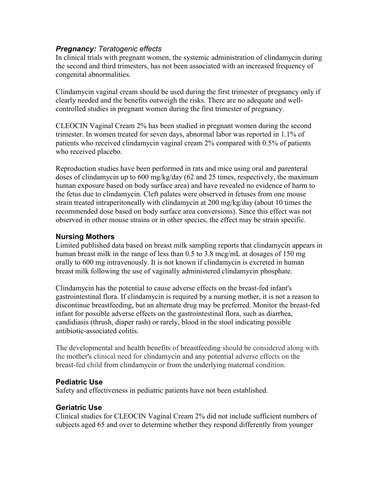#### *Pregnancy: Teratogenic effects*

In clinical trials with pregnant women, the systemic administration of clindamycin during the second and third trimesters, has not been associated with an increased frequency of congenital abnormalities.

Clindamycin vaginal cream should be used during the first trimester of pregnancy only if clearly needed and the benefits outweigh the risks. There are no adequate and wellcontrolled studies in pregnant women during the first trimester of pregnancy.

CLEOCIN Vaginal Cream 2% has been studied in pregnant women during the second trimester. In women treated for seven days, abnormal labor was reported in 1.1% of patients who received clindamycin vaginal cream 2% compared with 0.5% of patients who received placebo.

Reproduction studies have been performed in rats and mice using oral and parenteral doses of clindamycin up to 600 mg/kg/day (62 and 25 times, respectively, the maximum human exposure based on body surface area) and have revealed no evidence of harm to the fetus due to clindamycin. Cleft palates were observed in fetuses from one mouse strain treated intraperitoneally with clindamycin at 200 mg/kg/day (about 10 times the recommended dose based on body surface area conversions). Since this effect was not observed in other mouse strains or in other species, the effect may be strain specific.

#### **Nursing Mothers**

Limited published data based on breast milk sampling reports that clindamycin appears in human breast milk in the range of less than 0.5 to 3.8 mcg/mL at dosages of 150 mg orally to 600 mg intravenously. It is not known if clindamycin is excreted in human breast milk following the use of vaginally administered clindamycin phosphate.

Clindamycin has the potential to cause adverse effects on the breast-fed infant's gastrointestinal flora. If clindamycin is required by a nursing mother, it is not a reason to discontinue breastfeeding, but an alternate drug may be preferred. Monitor the breast-fed infant for possible adverse effects on the gastrointestinal flora, such as diarrhea, candidiasis (thrush, diaper rash) or rarely, blood in the stool indicating possible antibiotic-associated colitis.

The developmental and health benefits of breastfeeding should be considered along with the mother's clinical need for clindamycin and any potential adverse effects on the breast-fed child from clindamycin or from the underlying maternal condition.

## **Pediatric Use**

Safety and effectiveness in pediatric patients have not been established.

#### **Geriatric Use**

Clinical studies for CLEOCIN Vaginal Cream 2% did not include sufficient numbers of subjects aged 65 and over to determine whether they respond differently from younger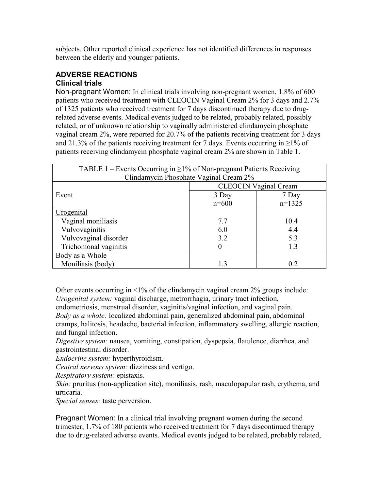subjects. Other reported clinical experience has not identified differences in responses between the elderly and younger patients.

### **ADVERSE REACTIONS Clinical trials**

Non-pregnant Women: In clinical trials involving non-pregnant women, 1.8% of 600 patients who received treatment with CLEOCIN Vaginal Cream 2% for 3 days and 2.7% of 1325 patients who received treatment for 7 days discontinued therapy due to drugrelated adverse events. Medical events judged to be related, probably related, possibly related, or of unknown relationship to vaginally administered clindamycin phosphate vaginal cream 2%, were reported for 20.7% of the patients receiving treatment for 3 days and 21.3% of the patients receiving treatment for 7 days. Events occurring in  $\geq$ 1% of patients receiving clindamycin phosphate vaginal cream 2% are shown in Table 1.

| TABLE 1 – Events Occurring in $\geq$ 1% of Non-pregnant Patients Receiving |                              |          |  |  |
|----------------------------------------------------------------------------|------------------------------|----------|--|--|
| Clindamycin Phosphate Vaginal Cream 2%                                     |                              |          |  |  |
|                                                                            | <b>CLEOCIN Vaginal Cream</b> |          |  |  |
| Event                                                                      | 3 Day                        | 7 Day    |  |  |
|                                                                            | $n=600$                      | $n=1325$ |  |  |
| Urogenital                                                                 |                              |          |  |  |
| Vaginal moniliasis                                                         | 7.7                          | 10.4     |  |  |
| Vulvovaginitis                                                             | 6.0                          | 4.4      |  |  |
| Vulvovaginal disorder                                                      | 3.2                          | 5.3      |  |  |
| Trichomonal vaginitis                                                      |                              | 1.3      |  |  |
| Body as a Whole                                                            |                              |          |  |  |
| Moniliasis (body)                                                          | 1.3                          | 0.2      |  |  |

Other events occurring in  $\leq 1\%$  of the clindamycin vaginal cream 2% groups include: *Urogenital system:* vaginal discharge, metrorrhagia, urinary tract infection,

endometriosis, menstrual disorder, vaginitis/vaginal infection, and vaginal pain.

*Body as a whole:* localized abdominal pain, generalized abdominal pain, abdominal cramps, halitosis, headache, bacterial infection, inflammatory swelling, allergic reaction, and fungal infection.

*Digestive system:* nausea, vomiting, constipation, dyspepsia, flatulence, diarrhea, and gastrointestinal disorder.

*Endocrine system:* hyperthyroidism.

*Central nervous system:* dizziness and vertigo.

*Respiratory system:* epistaxis.

*Skin:* pruritus (non-application site), moniliasis, rash, maculopapular rash, erythema, and urticaria.

*Special senses:* taste perversion.

Pregnant Women: In a clinical trial involving pregnant women during the second trimester, 1.7% of 180 patients who received treatment for 7 days discontinued therapy due to drug-related adverse events. Medical events judged to be related, probably related,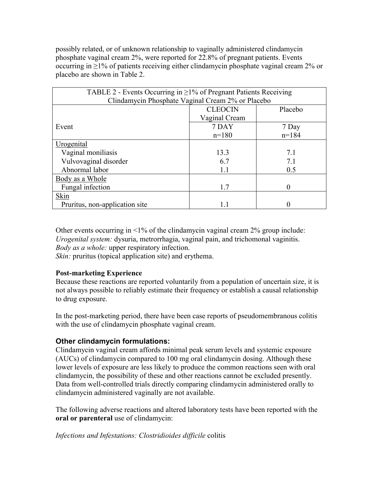possibly related, or of unknown relationship to vaginally administered clindamycin phosphate vaginal cream 2%, were reported for 22.8% of pregnant patients. Events occurring in ≥1% of patients receiving either clindamycin phosphate vaginal cream 2% or placebo are shown in Table 2.

| TABLE 2 - Events Occurring in $\geq$ 1% of Pregnant Patients Receiving |                |         |  |  |  |
|------------------------------------------------------------------------|----------------|---------|--|--|--|
| Clindamycin Phosphate Vaginal Cream 2% or Placebo                      |                |         |  |  |  |
|                                                                        | <b>CLEOCIN</b> | Placebo |  |  |  |
|                                                                        | Vaginal Cream  |         |  |  |  |
| Event                                                                  | 7 DAY          | 7 Day   |  |  |  |
|                                                                        | $n=180$        | $n=184$ |  |  |  |
| Urogenital                                                             |                |         |  |  |  |
| Vaginal moniliasis                                                     | 13.3           | 7.1     |  |  |  |
| Vulvovaginal disorder                                                  | 6.7            | 7.1     |  |  |  |
| Abnormal labor                                                         |                | 0.5     |  |  |  |
| Body as a Whole                                                        |                |         |  |  |  |
| Fungal infection                                                       | 1.7            |         |  |  |  |
| Skin                                                                   |                |         |  |  |  |
| Pruritus, non-application site                                         |                |         |  |  |  |

Other events occurring in <1% of the clindamycin vaginal cream 2% group include: *Urogenital system:* dysuria, metrorrhagia, vaginal pain, and trichomonal vaginitis. *Body as a whole:* upper respiratory infection.

*Skin:* pruritus (topical application site) and erythema.

#### **Post-marketing Experience**

Because these reactions are reported voluntarily from a population of uncertain size, it is not always possible to reliably estimate their frequency or establish a causal relationship to drug exposure.

In the post-marketing period, there have been case reports of pseudomembranous colitis with the use of clindamycin phosphate vaginal cream.

#### **Other clindamycin formulations:**

Clindamycin vaginal cream affords minimal peak serum levels and systemic exposure (AUCs) of clindamycin compared to 100 mg oral clindamycin dosing. Although these lower levels of exposure are less likely to produce the common reactions seen with oral clindamycin, the possibility of these and other reactions cannot be excluded presently. Data from well-controlled trials directly comparing clindamycin administered orally to clindamycin administered vaginally are not available.

The following adverse reactions and altered laboratory tests have been reported with the **oral or parenteral** use of clindamycin:

*Infections and Infestations: Clostridioides difficile* colitis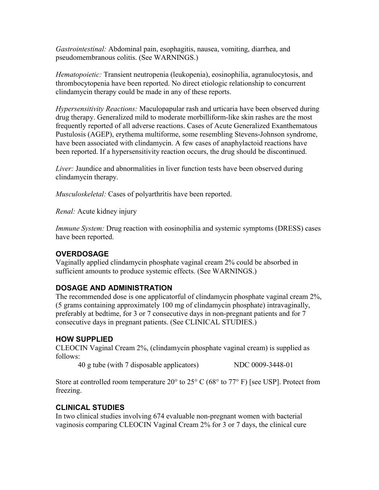*Gastrointestinal:* Abdominal pain, esophagitis, nausea, vomiting, diarrhea, and pseudomembranous colitis. (See WARNINGS.)

*Hematopoietic:* Transient neutropenia (leukopenia), eosinophilia, agranulocytosis, and thrombocytopenia have been reported. No direct etiologic relationship to concurrent clindamycin therapy could be made in any of these reports.

*Hypersensitivity Reactions:* Maculopapular rash and urticaria have been observed during drug therapy. Generalized mild to moderate morbilliform-like skin rashes are the most frequently reported of all adverse reactions. Cases of Acute Generalized Exanthematous Pustulosis (AGEP), erythema multiforme, some resembling Stevens-Johnson syndrome, have been associated with clindamycin. A few cases of anaphylactoid reactions have been reported. If a hypersensitivity reaction occurs, the drug should be discontinued.

*Liver:* Jaundice and abnormalities in liver function tests have been observed during clindamycin therapy.

*Musculoskeletal:* Cases of polyarthritis have been reported.

*Renal:* Acute kidney injury

*Immune System:* Drug reaction with eosinophilia and systemic symptoms (DRESS) cases have been reported.

#### **OVERDOSAGE**

Vaginally applied clindamycin phosphate vaginal cream 2% could be absorbed in sufficient amounts to produce systemic effects. (See WARNINGS.)

#### **DOSAGE AND ADMINISTRATION**

The recommended dose is one applicatorful of clindamycin phosphate vaginal cream 2%, (5 grams containing approximately 100 mg of clindamycin phosphate) intravaginally, preferably at bedtime, for 3 or 7 consecutive days in non-pregnant patients and for 7 consecutive days in pregnant patients. (See CLINICAL STUDIES.)

#### **HOW SUPPLIED**

CLEOCIN Vaginal Cream 2%, (clindamycin phosphate vaginal cream) is supplied as follows:

40 g tube (with 7 disposable applicators) NDC 0009-3448-01

Store at controlled room temperature 20 $\degree$  to 25 $\degree$  C (68 $\degree$  to 77 $\degree$  F) [see USP]. Protect from freezing.

#### **CLINICAL STUDIES**

In two clinical studies involving 674 evaluable non-pregnant women with bacterial vaginosis comparing CLEOCIN Vaginal Cream 2% for 3 or 7 days, the clinical cure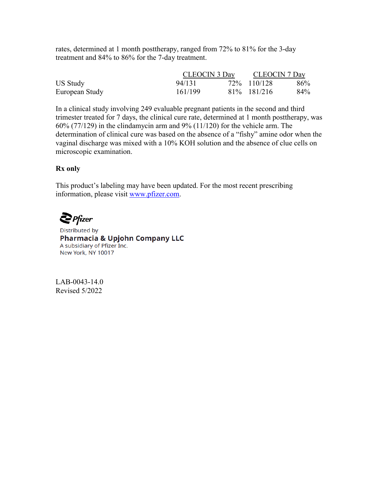rates, determined at 1 month posttherapy, ranged from 72% to 81% for the 3-day treatment and 84% to 86% for the 7-day treatment.

|                | CLEOCIN 3 Day | CLEOCIN 7 Day |     |
|----------------|---------------|---------------|-----|
| US Study       | 94/131        | 72\% 110\128  | 86% |
| European Study | 161/199       | 81\% 181\216  | 84% |

In a clinical study involving 249 evaluable pregnant patients in the second and third trimester treated for 7 days, the clinical cure rate, determined at 1 month posttherapy, was 60% (77/129) in the clindamycin arm and 9% (11/120) for the vehicle arm. The determination of clinical cure was based on the absence of a "fishy" amine odor when the vaginal discharge was mixed with a 10% KOH solution and the absence of clue cells on microscopic examination.

#### **Rx only**

This product's labeling may have been updated. For the most recent prescribing information, please visit [www.pfizer.com.](http://www.pfizer.com/)

 $\sum$  Pfizer

Distributed by **Pharmacia & Upjohn Company LLC** A subsidiary of Pfizer Inc. New York, NY 10017

LAB-0043-14.0 Revised 5/2022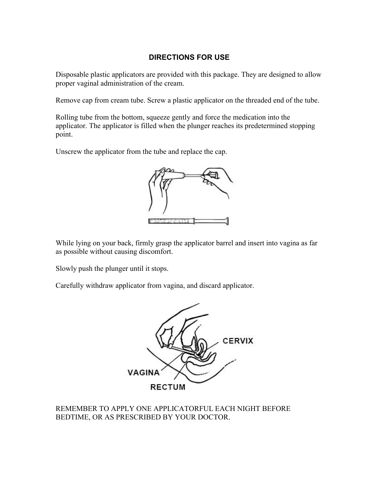## **DIRECTIONS FOR USE**

Disposable plastic applicators are provided with this package. They are designed to allow proper vaginal administration of the cream.

Remove cap from cream tube. Screw a plastic applicator on the threaded end of the tube.

Rolling tube from the bottom, squeeze gently and force the medication into the applicator. The applicator is filled when the plunger reaches its predetermined stopping point.

Unscrew the applicator from the tube and replace the cap.



While lying on your back, firmly grasp the applicator barrel and insert into vagina as far as possible without causing discomfort.

Slowly push the plunger until it stops.

Carefully withdraw applicator from vagina, and discard applicator.



REMEMBER TO APPLY ONE APPLICATORFUL EACH NIGHT BEFORE BEDTIME, OR AS PRESCRIBED BY YOUR DOCTOR.